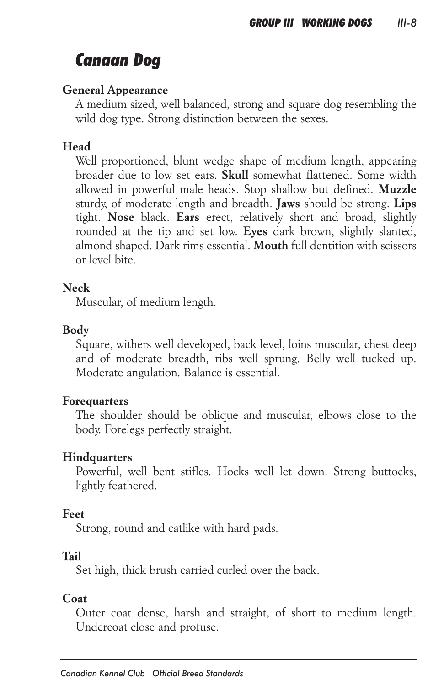# *Canaan Dog*

# *General Appearance*

*A medium sized, well balanced, strong and square dog resembling the wild dog type. Strong distinction between the sexes.*

#### *Head*

*Well proportioned, blunt wedge shape of medium length, appearing broader due to low set ears. Skull somewhat flattened. Some width allowed in powerful male heads. Stop shallow but defined. Muzzle sturdy, of moderate length and breadth. Jaws should be strong. Lips tight. Nose black. Ears erect, relatively short and broad, slightly rounded at the tip and set low. Eyes dark brown, slightly slanted, almond shaped. Dark rims essential. Mouth full dentition with scissors or level bite.*

#### *Neck*

*Muscular, of medium length.*

#### *Body*

*Square, withers well developed, back level, loins muscular, chest deep*  and of moderate breadth, ribs well sprung. Belly well tucked up. *Moderate angulation. Balance is essential.*

#### *Forequarters*

The shoulder should be oblique and muscular, elbows close to the *body. Forelegs perfectly straight.*

# *Hindquarters*

*Powerful, well bent stifles. Hocks well let down. Strong buttocks, lightly feathered.*

# *Feet*

*Strong, round and catlike with hard pads.*

# *Tail*

*Set high, thick brush carried curled over the back.*

# *Coat*

*Outer coat dense, harsh and straight, of short to medium length. Undercoat close and profuse.*